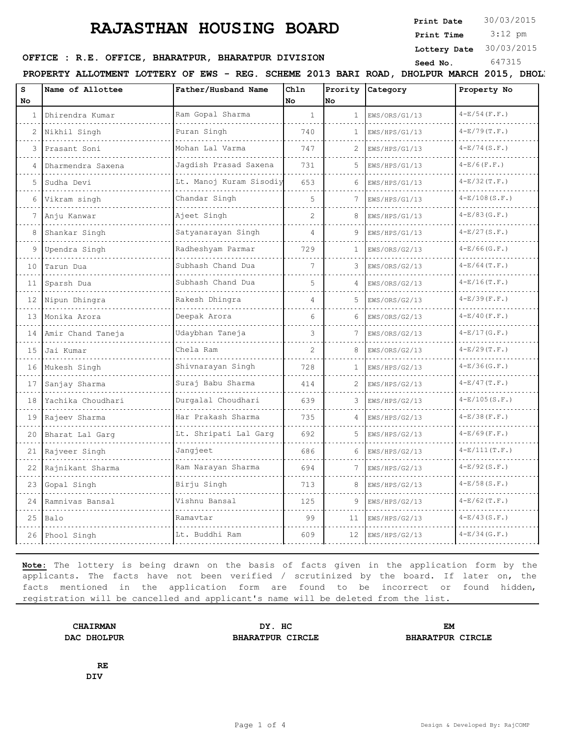**Print Date**  $30/03/2015$ 

 3:12 pm **Print Time**

**Lottery Date** 30/03/2015

## **SERICE : R.E. OFFICE, BHARATPUR, BHARATPUR DIVISION** Seed No. 647315

PROPERTY ALLOTMENT LOTTERY OF EWS - REG. SCHEME 2013 BARI ROAD, DHOLPUR MARCH 2015, DHOLI

| S<br>No      | Name of Allottee  | Father/Husband Name     | Chln<br>No     | Prority<br>No  | Category      | Property No     |
|--------------|-------------------|-------------------------|----------------|----------------|---------------|-----------------|
| $\mathbf{1}$ | Dhirendra Kumar   | Ram Gopal Sharma        | $\mathbf{1}$   | $\mathbf{1}$   | EWS/ORS/G1/13 | $4-E/54$ (F.F.) |
| 2            | Nikhil Singh      | .<br>Puran Singh        | 740            | 1              | EWS/HPS/G1/13 | $4-E/79(T.F.)$  |
| 3            | Prasant Soni      | Mohan Lal Varma         | 747            | $\mathfrak{D}$ | EWS/HPS/G1/13 | $4-E/74(S.F.)$  |
| 4            | Dharmendra Saxena | Jaqdish Prasad Saxena   | 731            | 5              | EWS/HPS/G1/13 | $4-E/6(F.F.)$   |
| 5            | Sudha Devi        | Lt. Manoj Kuram Sisodiy | 653            | 6              | EWS/HPS/G1/13 | $4-E/32(T.F.)$  |
| 6            | Vikram singh      | Chandar Singh           | 5              | 7              | EWS/HPS/G1/13 | $4-E/108(S.F.)$ |
| 7            | .<br>Anju Kanwar  | Ajeet Singh             | $\overline{c}$ | 8              | EWS/HPS/G1/13 | $4-E/83(G.F.)$  |
| 8            | Shankar Singh     | Satyanarayan Singh      | $\overline{4}$ | 9              | EWS/HPS/G1/13 | $4-E/27(S.F.)$  |
| 9            | Upendra Singh     | Radheshyam Parmar       | 729            | $\mathbf{1}$   | EWS/ORS/G2/13 | $4-E/66(G.F.)$  |
| 10           | Tarun Dua         | Subhash Chand Dua       | 7              | 3              | EWS/ORS/G2/13 | $4-E/64$ (T.F.) |
| 11           | Sparsh Dua        | Subhash Chand Dua       | 5              | $\overline{4}$ | EWS/ORS/G2/13 | $4-E/16(T.F.)$  |
| 12           | Nipun Dhingra     | Rakesh Dhingra          | 4              | 5.             | EWS/ORS/G2/13 | $4-E/39(F.F.)$  |
| 13           | Monika Arora      | Deepak Arora            | 6              | 6              | EWS/ORS/G2/13 | $4-E/40$ (F.F.) |
| 14           | Amir Chand Taneja | Udaybhan Taneja         | 3              | 7              | EWS/ORS/G2/13 | $4-E/17(G.F.)$  |
| 15           | Jai Kumar         | Chela Ram               | 2              | 8              | EWS/ORS/G2/13 | $4-E/29(T.F.)$  |
| 16           | Mukesh Singh      | Shivnarayan Singh       | 728            | 1              | EWS/HPS/G2/13 | $4-E/36(G.F.)$  |
| 17           | Sanjay Sharma     | Suraj Babu Sharma       | 414            | $\mathfrak{D}$ | EWS/HPS/G2/13 | $4-E/47(T.F.)$  |
| 18           | Yachika Choudhari | Durgalal Choudhari      | 639            | 3              | EWS/HPS/G2/13 | $4-E/105(S.F.)$ |
| 19           | Rajeev Sharma     | Har Prakash Sharma      | 735            | 4              | EWS/HPS/G2/13 | $4-E/38(F.F.)$  |
| 20           | Bharat Lal Garq   | Lt. Shripati Lal Garg   | 692            | 5              | EWS/HPS/G2/13 | $4-E/69$ (F.F.) |
| 21           | Rajveer Singh     | Jangjeet                | 686            | 6              | EWS/HPS/G2/13 | $4-E/111(T.F.)$ |
| 22           | Rajnikant Sharma  | Ram Narayan Sharma      | 694            | 7              | EWS/HPS/G2/13 | $4-E/92(S.F.)$  |
| 23           | Gopal Singh       | Birju Singh             | 713            |                | EWS/HPS/G2/13 | $4-E/58(S.F.)$  |
| 24           | Ramnivas Bansal   | Vishnu Bansal           | 125            | 9              | EWS/HPS/G2/13 | $4-E/62(T.F.)$  |
| 25           | Balo              | Ramavtar                | 99             | 11             | EWS/HPS/G2/13 | $4-E/43(S.F.)$  |
| 26           | Phool Singh       | Lt. Buddhi Ram          | 609            | 12             | EWS/HPS/G2/13 | $4-E/34(G.F.)$  |

**Note:** The lottery is being drawn on the basis of facts given in the application form by the applicants. The facts have not been verified / scrutinized by the board. If later on, the facts mentioned in the application form are found to be incorrect or found hidden, registration will be cancelled and applicant's name will be deleted from the list.

**CHAIRMAN DY. HC EM DAC DHOLPUR BHARATPUR CIRCLE BHARATPUR CIRCLE**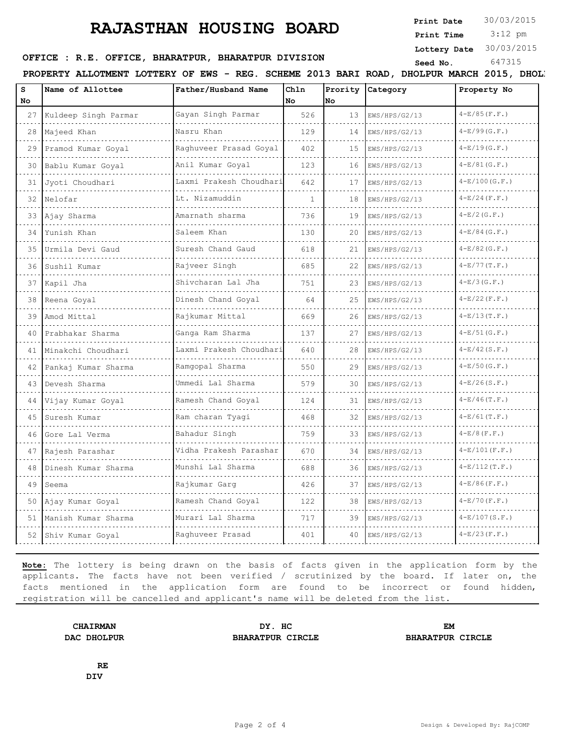**Print Date**  $30/03/2015$ 

 3:12 pm **Print Time**

**Lottery Date** 30/03/2015

**SERICE : R.E. OFFICE, BHARATPUR, BHARATPUR DIVISION** Seed No. 647315

PROPERTY ALLOTMENT LOTTERY OF EWS - REG. SCHEME 2013 BARI ROAD, DHOLPUR MARCH 2015, DHOLI

| S<br><b>No</b> | Name of Allottee        | Father/Husband Name         | Ch1n<br>No   | No. | Prority Category | Property No      |
|----------------|-------------------------|-----------------------------|--------------|-----|------------------|------------------|
| 27             | Kuldeep Singh Parmar    | Gayan Singh Parmar<br>.     | 526          | 13  | EWS/HPS/G2/13    | $4-E/85(F.F.)$   |
| 28             | Majeed Khan             | Nasru Khan                  | 129          | 14  | EWS/HPS/G2/13    | $4-E/99(G.F.)$   |
| 29             | Pramod Kumar Goyal<br>. | Raghuveer Prasad Goyal      | 402          | 15  | EWS/HPS/G2/13    | $4-E/19(G.F.)$   |
| 30             | Bablu Kumar Goyal       | Anil Kumar Goyal            | 123          | 16  | EWS/HPS/G2/13    | $4-E/81(G.F.)$   |
| 31             | Jyoti Choudhari         | Laxmi Prakesh Choudhari     | 642          | 17  | EWS/HPS/G2/13    | $4-E/100(G.F.)$  |
| 32             | Nelofar                 | Lt. Nizamuddin              | $\mathbf{1}$ | 18  | EWS/HPS/G2/13    | $4-E/24$ (F.F.)  |
| 33             | Ajay Sharma             | Amarnath sharma             | 736          | 19  | EWS/HPS/G2/13    | $4-E/2(G.F.)$    |
| 34             | Yunish Khan             | Saleem Khan                 | 130          | 20  | EWS/HPS/G2/13    | $4-E/84$ (G.F.)  |
| 35             | Urmila Devi Gaud        | Suresh Chand Gaud           | 618          | 21  | EWS/HPS/G2/13    | $4-E/82$ (G.F.)  |
| 36             | Sushil Kumar            | Rajveer Singh               | 685          | 22  | EWS/HPS/G2/13    | $4-E/77(T.F.)$   |
| 37             | Kapil Jha               | Shivcharan Lal Jha          | 751          | 23  | EWS/HPS/G2/13    | $4-E/3(G.F.)$    |
| 38             | Reena Goyal             | Dinesh Chand Goyal<br>.     | 64           | 25  | EWS/HPS/G2/13    | $4-E/22(F.F.)$   |
| 39             | Amod Mittal             | Rajkumar Mittal             | 669          | 26  | EWS/HPS/G2/13    | $4-E/13(T.F.)$   |
| 40             | Prabhakar Sharma        | Ganga Ram Sharma            | 137          | 27  | EWS/HPS/G2/13    | $4-E/51(G.F.)$   |
| 41             | Minakchi Choudhari      | Laxmi Prakesh Choudhari     | 640          | 28  | EWS/HPS/G2/13    | $4-E/42(S.F.)$   |
| 42             | Pankaj Kumar Sharma     | Ramgopal Sharma             | 550          | 29  | EWS/HPS/G2/13    | $4-E/50$ (G.F.)  |
| 43             | Devesh Sharma           | Ummedi Lal Sharma           | 579          | 30  | EWS/HPS/G2/13    | $4-E/26(S.F.)$   |
| 44             | Vijay Kumar Goyal       | Ramesh Chand Goyal          | 124          | 31  | EWS/HPS/G2/13    | $4-E/46(T.F.)$   |
| 45             | Suresh Kumar            | Ram charan Tyagi            | 468          | 32  | EWS/HPS/G2/13    | $4-E/61(T.F.)$   |
| 46             | Gore Lal Verma          | Bahadur Singh               | 759          | 33  | EWS/HPS/G2/13    | $4-E/8$ (F.F.)   |
| 47             | Rajesh Parashar         | Vidha Prakesh Parashar<br>. | 670          | 34  | EWS/HPS/G2/13    | $4-E/101$ (F.F.) |
| 48             | Dinesh Kumar Sharma     | Munshi Lal Sharma           | 688          | 36  | EWS/HPS/G2/13    | $4-E/112(T.F.)$  |
| 49             | Seema                   | Rajkumar Garg               | 426          | 37  | EWS/HPS/G2/13    | $4-E/86$ (F.F.)  |
| 50             | Ajay Kumar Goyal        | Ramesh Chand Goyal          | 122          | 38  | EWS/HPS/G2/13    | $4-E/70$ (F.F.)  |
| 51             | Manish Kumar Sharma     | Murari Lal Sharma           | 717          | 39  | EWS/HPS/G2/13    | $4-E/107(S.F.)$  |
|                | 52 Shiv Kumar Goyal     | Raghuveer Prasad            | 401          | 40  | EWS/HPS/G2/13    | $4-E/23(F.F.)$   |

**Note:** The lottery is being drawn on the basis of facts given in the application form by the applicants. The facts have not been verified / scrutinized by the board. If later on, the facts mentioned in the application form are found to be incorrect or found hidden, registration will be cancelled and applicant's name will be deleted from the list.

**CHAIRMAN DY. HC EM DAC DHOLPUR BHARATPUR CIRCLE BHARATPUR CIRCLE**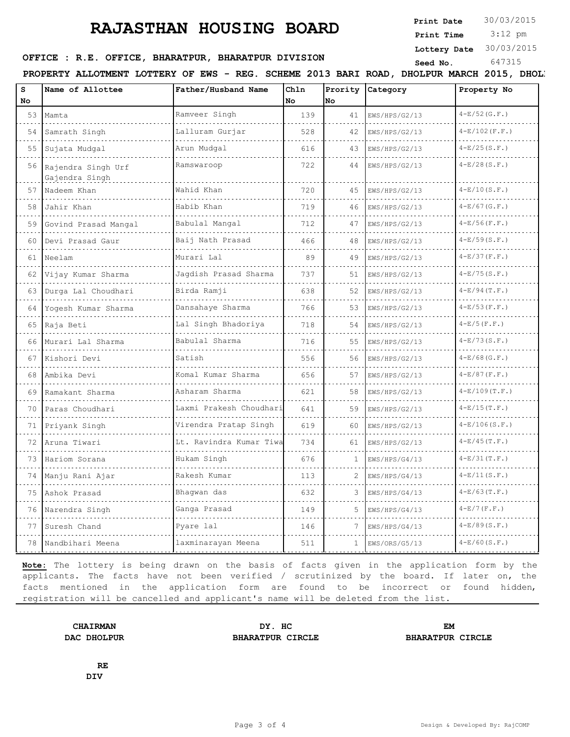**Print Date**  $30/03/2015$ 

 3:12 pm **Print Time**

**Lottery Date** 30/03/2015

### **SERICE : R.E. OFFICE, BHARATPUR, BHARATPUR DIVISION** Seed No. 647315

PROPERTY ALLOTMENT LOTTERY OF EWS - REG. SCHEME 2013 BARI ROAD, DHOLPUR MARCH 2015, DHOLI

| s<br>No | Name of Allottee                     | Father/Husband Name     | Chln<br>No | Prority<br>No | Category      | Property No      |
|---------|--------------------------------------|-------------------------|------------|---------------|---------------|------------------|
| 53      | Mamta                                | Ramveer Singh           | 139        | 41            | EWS/HPS/G2/13 | $4-E/52$ (G.F.)  |
| 54      | Samrath Singh                        | .<br>Lalluram Gurjar    | 528        | 42            | EWS/HPS/G2/13 | $4-E/102$ (F.F.) |
| 55      | Sujata Mudgal                        | Arun Mudgal             | 616        | 43            | EWS/HPS/G2/13 | $4-E/25(S.F.)$   |
| 56      | Rajendra Singh Urf<br>Gajendra Singh | Ramswaroop              | 722        | 44            | EWS/HPS/G2/13 | $4-E/28(S.F.)$   |
| 57      | Nadeem Khan                          | Wahid Khan              | 720        | 45            | EWS/HPS/G2/13 | $4-E/10(S.F.)$   |
| 58      | Jahir Khan                           | Habib Khan              | 719        | 46            | EWS/HPS/G2/13 | $4-E/67(G.F.)$   |
| 59      | Govind Prasad Mangal                 | Babulal Mangal          | 712        | 47            | EWS/HPS/G2/13 | $4-E/56(F.F.)$   |
| 60      | Devi Prasad Gaur                     | Baij Nath Prasad        | 466        | 48            | EWS/HPS/G2/13 | $4-E/59(S.F.)$   |
| 61      | Neelam                               | Murari Lal              | 89         | 49            | EWS/HPS/G2/13 | $4-E/37(F.F.)$   |
| 62      | Vijay Kumar Sharma                   | Jagdish Prasad Sharma   | 737        | 51            | EWS/HPS/G2/13 | $4-E/75(S.F.)$   |
| 63      | Durga Lal Choudhari<br>.             | Birda Ramji             | 638        | 52            | EWS/HPS/G2/13 | $4-E/94(T.F.)$   |
| 64      | Yogesh Kumar Sharma                  | Dansahaye Sharma        | 766        | 53            | EWS/HPS/G2/13 | $4-E/53(F.F.)$   |
| 65      | Raja Beti                            | Lal Singh Bhadoriya     | 718        | 54            | EWS/HPS/G2/13 | $4-E/5(F.F.)$    |
| 66      | Murari Lal Sharma                    | Babulal Sharma          | 716        | 55            | EWS/HPS/G2/13 | $4-E/73(S.F.)$   |
| 67      | Kishori Devi                         | Satish                  | 556        | 56            | EWS/HPS/G2/13 | $4-E/68(G.F.)$   |
| 68      | Ambika Devi                          | Komal Kumar Sharma      | 656        | 57            | EWS/HPS/G2/13 | $4-E/87(F.F.)$   |
| 69      | Ramakant Sharma                      | Asharam Sharma          | 621        | 58            | EWS/HPS/G2/13 | $4-E/109(T.F.)$  |
| 70      | Paras Choudhari                      | Laxmi Prakesh Choudhari | 641        | 59            | EWS/HPS/G2/13 | $4-E/15(T.F.)$   |
| 71      | Priyank Singh                        | Virendra Pratap Singh   | 619        | 60            | EWS/HPS/G2/13 | $4-E/106(S.F.)$  |
| 72      | Aruna Tiwari                         | Lt. Ravindra Kumar Tiwa | 734        | 61            | EWS/HPS/G2/13 | $4-E/45(T.F.)$   |
| 73      | Hariom Sorana                        | Hukam Singh             | 676        | 1.            | EWS/HPS/G4/13 | $4-E/31(T.F.)$   |
| 74      | Manju Rani Ajar                      | Rakesh Kumar            | 113        |               | EWS/HPS/G4/13 | $4-E/11(S.F.)$   |
| 75      | Ashok Prasad                         | Bhaqwan das             | 632        | 3             | EWS/HPS/G4/13 | $4-E/63$ (T.F.)  |
| 76      | Narendra Singh                       | Ganga Prasad            | 149        | 5             | EWS/HPS/G4/13 | $4-E/7$ (F.F.)   |
| 77      | Suresh Chand                         | Pyare lal               | 146        | 7             | EWS/HPS/G4/13 | $4-E/89(S.F.)$   |
| 78      | Nandbihari Meena                     | laxminarayan Meena      | 511        | $\mathbf{1}$  | EWS/ORS/G5/13 | $4-E/60(S.F.)$   |

**Note:** The lottery is being drawn on the basis of facts given in the application form by the applicants. The facts have not been verified / scrutinized by the board. If later on, the facts mentioned in the application form are found to be incorrect or found hidden, registration will be cancelled and applicant's name will be deleted from the list.

**CHAIRMAN DY. HC EM DAC DHOLPUR BHARATPUR CIRCLE BHARATPUR CIRCLE**